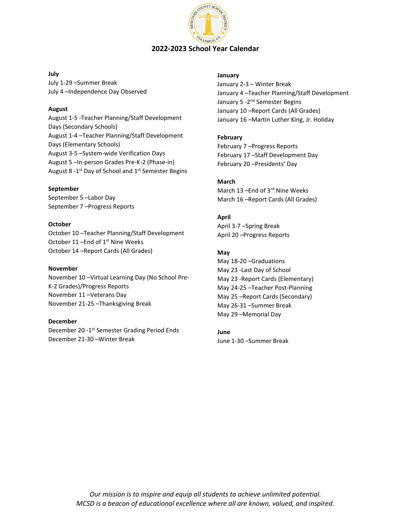

#### **July**

July 1-29 –Summer Break July 4 –Independence Day Observed

## **August**

August 1-5 -Teacher Planning/Staff Development Days (Secondary Schools) August 1-4 –Teacher Planning/Staff Development Days (Elementary Schools) August 3-5 –System-wide Verification Days August 5 –In-person Grades Pre-K-2 (Phase-in) August 8 -1<sup>st</sup> Day of School and 1<sup>st</sup> Semester Begins

## **September**

September 5 –Labor Day September 7 –Progress Reports

## **October**

October 10 –Teacher Planning/Staff Development October 11 - End of 1<sup>st</sup> Nine Weeks October 14 –Report Cards (All Grades)

#### **November**

November 10 –Virtual Learning Day (No School Pre-K-2 Grades)/Progress Reports November 11 –Veterans Day November 21-25 –Thanksgiving Break

#### **December**

December 20 -1<sup>st</sup> Semester Grading Period Ends December 21-30 –Winter Break

#### **January**

January 2-3 – Winter Break January 4 –Teacher Planning/Staff Development January 5 -2<sup>nd</sup> Semester Begins January 10 –Report Cards (All Grades) January 16 –Martin Luther King, Jr. Holiday

## **February**

February 7 –Progress Reports February 17 –Staff Development Day February 20 –Presidents' Day

# **March**

March 13 –End of 3rd Nine Weeks March 16 –Report Cards (All Grades)

# **April**

April 3-7 –Spring Break April 20 –Progress Reports

## **May**

May 18-20 –Graduations May 23 -Last Day of School May 23 -Report Cards (Elementary) May 24-25 –Teacher Post-Planning May 25 –Report Cards (Secondary) May 26-31 –Summer Break May 29 –Memorial Day

#### **June** June 1-30 –Summer Break

*Our mission is to inspire and equip all students to achieve unlimited potential. MCSD is a beacon of educational excellence where all are known, valued, and inspired.*